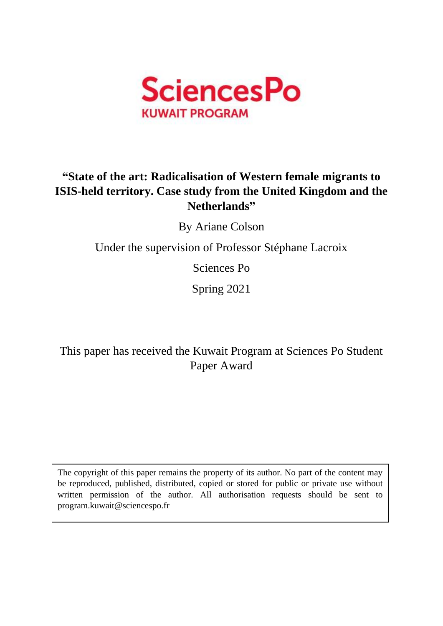

# **"State of the art: Radicalisation of Western female migrants to ISIS-held territory. Case study from the United Kingdom and the Netherlands"**

By Ariane Colson

Under the supervision of Professor Stéphane Lacroix

Sciences Po

Spring 2021

This paper has received the Kuwait Program at Sciences Po Student Paper Award

The copyright of this paper remains the property of its author. No part of the content may be reproduced, published, distributed, copied or stored for public or private use without written permission of the author. All authorisation requests should be sent to program.kuwait@sciencespo.fr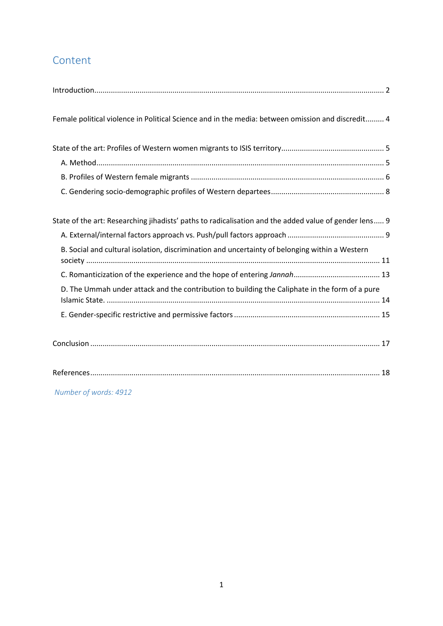## Content

*Number of words: 4912*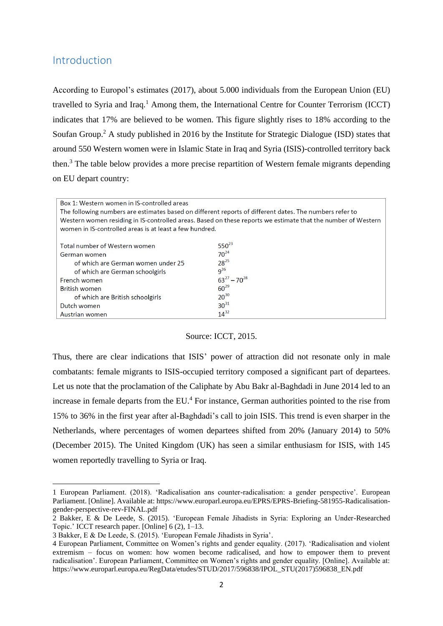### <span id="page-2-0"></span>Introduction

According to Europol's estimates (2017), about 5.000 individuals from the European Union (EU) travelled to Syria and Iraq.<sup>1</sup> Among them, the International Centre for Counter Terrorism (ICCT) indicates that 17% are believed to be women. This figure slightly rises to 18% according to the Soufan Group.<sup>2</sup> A study published in 2016 by the Institute for Strategic Dialogue (ISD) states that around 550 Western women were in Islamic State in Iraq and Syria (ISIS)-controlled territory back then.<sup>3</sup> The table below provides a more precise repartition of Western female migrants depending on EU depart country:

| Box 1: Western women in IS-controlled areas<br>The following numbers are estimates based on different reports of different dates. The numbers refer to<br>Western women residing in IS-controlled areas. Based on these reports we estimate that the number of Western<br>women in IS-controlled areas is at least a few hundred. |                     |  |
|-----------------------------------------------------------------------------------------------------------------------------------------------------------------------------------------------------------------------------------------------------------------------------------------------------------------------------------|---------------------|--|
| Total number of Western women                                                                                                                                                                                                                                                                                                     | $550^{23}$          |  |
| German women                                                                                                                                                                                                                                                                                                                      | $70^{24}$           |  |
| of which are German women under 25                                                                                                                                                                                                                                                                                                | $28^{25}$           |  |
| of which are German schoolgirls                                                                                                                                                                                                                                                                                                   | $q^{26}$            |  |
| French women                                                                                                                                                                                                                                                                                                                      | $63^{27} - 70^{28}$ |  |
| <b>British women</b>                                                                                                                                                                                                                                                                                                              | $60^{29}$           |  |
| of which are British schoolgirls                                                                                                                                                                                                                                                                                                  | $20^{30}$           |  |
| Dutch women                                                                                                                                                                                                                                                                                                                       | $30^{31}$           |  |
| Austrian women                                                                                                                                                                                                                                                                                                                    | $14^{32}$           |  |

#### Source: ICCT, 2015.

Thus, there are clear indications that ISIS' power of attraction did not resonate only in male combatants: female migrants to ISIS-occupied territory composed a significant part of departees. Let us note that the proclamation of the Caliphate by Abu Bakr al-Baghdadi in June 2014 led to an increase in female departs from the EU.<sup>4</sup> For instance, German authorities pointed to the rise from 15% to 36% in the first year after al-Baghdadi's call to join ISIS. This trend is even sharper in the Netherlands, where percentages of women departees shifted from 20% (January 2014) to 50% (December 2015). The United Kingdom (UK) has seen a similar enthusiasm for ISIS, with 145 women reportedly travelling to Syria or Iraq.

<sup>1</sup> European Parliament. (2018). 'Radicalisation ans counter-radicalisation: a gender perspective'. European Parliament. [Online]. Available at[: https://www.europarl.europa.eu/EPRS/EPRS-Briefing-581955-Radicalisation](https://www.europarl.europa.eu/EPRS/EPRS-Briefing-581955-Radicalisation-gender-perspective-rev-FINAL.pdf)[gender-perspective-rev-FINAL.pdf](https://www.europarl.europa.eu/EPRS/EPRS-Briefing-581955-Radicalisation-gender-perspective-rev-FINAL.pdf)

<sup>2</sup> Bakker, E & De Leede, S. (2015). 'European Female Jihadists in Syria: Exploring an Under-Researched Topic.' ICCT research paper. [Online] 6 (2), 1–13.

<sup>3</sup> Bakker, E & De Leede, S. (2015). 'European Female Jihadists in Syria'.

<sup>4</sup> European Parliament, Committee on Women's rights and gender equality. (2017). 'Radicalisation and violent extremism – focus on women: how women become radicalised, and how to empower them to prevent radicalisation'. European Parliament, Committee on Women's rights and gender equality. [Online]. Available at: [https://www.europarl.europa.eu/RegData/etudes/STUD/2017/596838/IPOL\\_STU\(2017\)596838\\_EN.pdf](https://www.europarl.europa.eu/RegData/etudes/STUD/2017/596838/IPOL_STU(2017)596838_EN.pdf)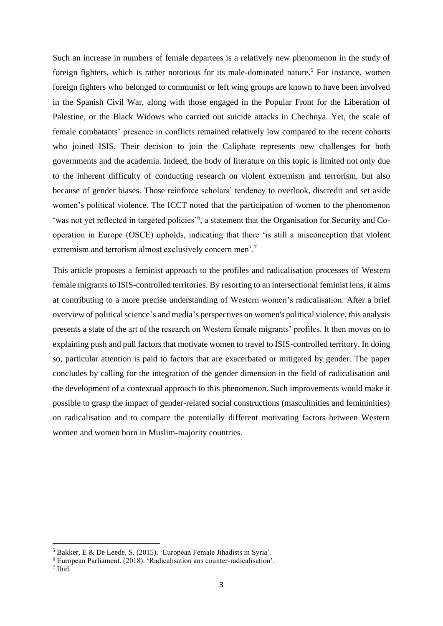Such an increase in numbers of female departees is a relatively new phenomenon in the study of foreign fighters, which is rather notorious for its male-dominated nature.<sup>5</sup> For instance, women foreign fighters who belonged to communist or left wing groups are known to have been involved in the Spanish Civil War, along with those engaged in the Popular Front for the Liberation of Palestine, or the Black Widows who carried out suicide attacks in Chechnya. Yet, the scale of female combatants' presence in conflicts remained relatively low compared to the recent cohorts who joined ISIS. Their decision to join the Caliphate represents new challenges for both governments and the academia. Indeed, the body of literature on this topic is limited not only due to the inherent difficulty of conducting research on violent extremism and terrorism, but also because of gender biases. Those reinforce scholars' tendency to overlook, discredit and set aside women's political violence. The ICCT noted that the participation of women to the phenomenon 'was not yet reflected in targeted policies'<sup>6</sup>, a statement that the Organisation for Security and Cooperation in Europe (OSCE) upholds, indicating that there 'is still a misconception that violent extremism and terrorism almost exclusively concern men'.<sup>7</sup>

This article proposes a feminist approach to the profiles and radicalisation processes of Western female migrants to ISIS-controlled territories. By resorting to an intersectional feminist lens, it aims at contributing to a more precise understanding of Western women's radicalisation. After a brief overview of political science's and media's perspectives on women's political violence, this analysis presents a state of the art of the research on Western female migrants' profiles. It then moves on to explaining push and pull factors that motivate women to travel to ISIS-controlled territory. In doing so, particular attention is paid to factors that are exacerbated or mitigated by gender. The paper concludes by calling for the integration of the gender dimension in the field of radicalisation and the development of a contextual approach to this phenomenon. Such improvements would make it possible to grasp the impact of gender-related social constructions (masculinities and femininities) on radicalisation and to compare the potentially different motivating factors between Western women and women born in Muslim-majority countries.

<sup>5</sup> Bakker, E & De Leede, S. (2015). 'European Female Jihadists in Syria'.

<sup>6</sup> European Parliament. (2018). 'Radicalisation ans counter-radicalisation'.

<sup>7</sup> Ibid.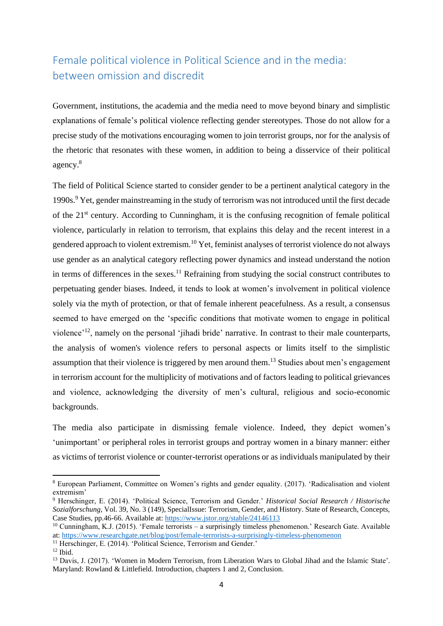# <span id="page-4-0"></span>Female political violence in Political Science and in the media: between omission and discredit

Government, institutions, the academia and the media need to move beyond binary and simplistic explanations of female's political violence reflecting gender stereotypes. Those do not allow for a precise study of the motivations encouraging women to join terrorist groups, nor for the analysis of the rhetoric that resonates with these women, in addition to being a disservice of their political agency. 8

The field of Political Science started to consider gender to be a pertinent analytical category in the 1990s.<sup>9</sup> Yet, gender mainstreaming in the study of terrorism was not introduced until the first decade of the 21<sup>st</sup> century. According to Cunningham, it is the confusing recognition of female political violence, particularly in relation to terrorism, that explains this delay and the recent interest in a gendered approach to violent extremism.<sup>10</sup> Yet, feminist analyses of terrorist violence do not always use gender as an analytical category reflecting power dynamics and instead understand the notion in terms of differences in the sexes.<sup>11</sup> Refraining from studying the social construct contributes to perpetuating gender biases. Indeed, it tends to look at women's involvement in political violence solely via the myth of protection, or that of female inherent peacefulness. As a result, a consensus seemed to have emerged on the 'specific conditions that motivate women to engage in political violence'<sup>12</sup>, namely on the personal 'jihadi bride' narrative. In contrast to their male counterparts, the analysis of women's violence refers to personal aspects or limits itself to the simplistic assumption that their violence is triggered by men around them.<sup>13</sup> Studies about men's engagement in terrorism account for the multiplicity of motivations and of factors leading to political grievances and violence, acknowledging the diversity of men's cultural, religious and socio-economic backgrounds.

The media also participate in dismissing female violence. Indeed, they depict women's 'unimportant' or peripheral roles in terrorist groups and portray women in a binary manner: either as victims of terrorist violence or counter-terrorist operations or as individuals manipulated by their

<sup>8</sup> European Parliament, Committee on Women's rights and gender equality. (2017). 'Radicalisation and violent extremism'

<sup>9</sup> Herschinger, E. (2014). 'Political Science, Terrorism and Gender.' *Historical Social Research / Historische Sozialforschung*, Vol. 39, No. 3 (149), SpecialIssue: Terrorism, Gender, and History. State of Research, Concepts, Case Studies, pp.46-66. Available at:<https://www.jstor.org/stable/24146113>

<sup>10</sup> Cunningham, K.J. (2015). 'Female terrorists – a surprisingly timeless phenomenon.' Research Gate. Available at:<https://www.researchgate.net/blog/post/female-terrorists-a-surprisingly-timeless-phenomenon>

<sup>&</sup>lt;sup>11</sup> Herschinger, E. (2014). 'Political Science, Terrorism and Gender.'

 $12$  Ibid.

<sup>13</sup> Davis, J. (2017). 'Women in Modern Terrorism, from Liberation Wars to Global Jihad and the Islamic State'*.*  Maryland: Rowland & Littlefield. Introduction, chapters 1 and 2, Conclusion.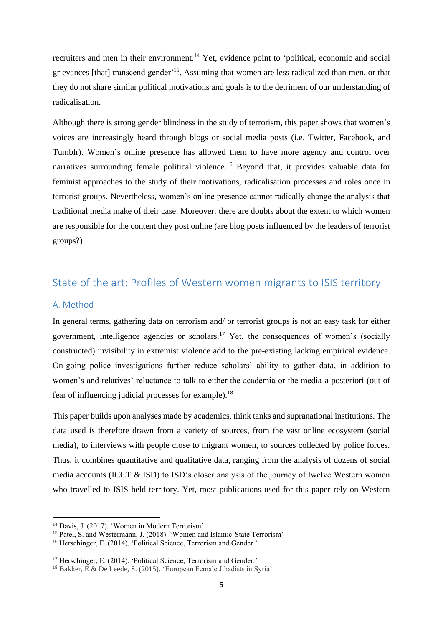recruiters and men in their environment.<sup>14</sup> Yet, evidence point to 'political, economic and social grievances [that] transcend gender'<sup>15</sup>. Assuming that women are less radicalized than men, or that they do not share similar political motivations and goals is to the detriment of our understanding of radicalisation.

Although there is strong gender blindness in the study of terrorism, this paper shows that women's voices are increasingly heard through blogs or social media posts (i.e. Twitter, Facebook, and Tumblr). Women's online presence has allowed them to have more agency and control over narratives surrounding female political violence.<sup>16</sup> Beyond that, it provides valuable data for feminist approaches to the study of their motivations, radicalisation processes and roles once in terrorist groups. Nevertheless, women's online presence cannot radically change the analysis that traditional media make of their case. Moreover, there are doubts about the extent to which women are responsible for the content they post online (are blog posts influenced by the leaders of terrorist groups?)

## <span id="page-5-0"></span>State of the art: Profiles of Western women migrants to ISIS territory

### <span id="page-5-1"></span>A. Method

In general terms, gathering data on terrorism and/ or terrorist groups is not an easy task for either government, intelligence agencies or scholars.<sup>17</sup> Yet, the consequences of women's (socially constructed) invisibility in extremist violence add to the pre-existing lacking empirical evidence. On-going police investigations further reduce scholars' ability to gather data, in addition to women's and relatives' reluctance to talk to either the academia or the media a posteriori (out of fear of influencing judicial processes for example).<sup>18</sup>

This paper builds upon analyses made by academics, think tanks and supranational institutions. The data used is therefore drawn from a variety of sources, from the vast online ecosystem (social media), to interviews with people close to migrant women, to sources collected by police forces. Thus, it combines quantitative and qualitative data, ranging from the analysis of dozens of social media accounts (ICCT & ISD) to ISD's closer analysis of the journey of twelve Western women who travelled to ISIS-held territory. Yet, most publications used for this paper rely on Western

<sup>14</sup> Davis, J. (2017). 'Women in Modern Terrorism'

<sup>&</sup>lt;sup>15</sup> Patel, S. and Westermann, J. (2018). 'Women and Islamic-State Terrorism'

<sup>&</sup>lt;sup>16</sup> Herschinger, E. (2014). 'Political Science, Terrorism and Gender.'

<sup>&</sup>lt;sup>17</sup> Herschinger, E. (2014). 'Political Science, Terrorism and Gender.'

<sup>18</sup> Bakker, E & De Leede, S. (2015). 'European Female Jihadists in Syria'.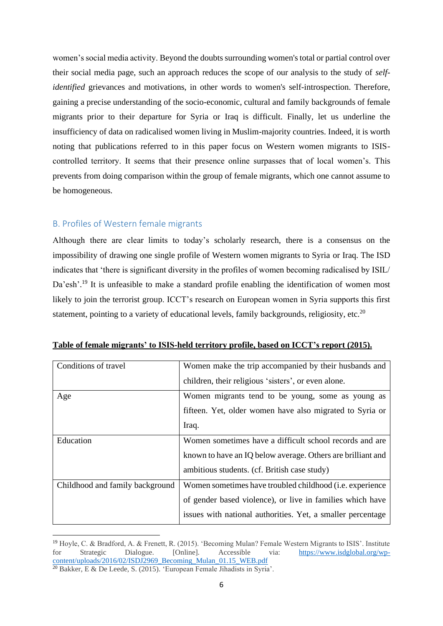women's social media activity. Beyond the doubts surrounding women's total or partial control over their social media page, such an approach reduces the scope of our analysis to the study of *selfidentified* grievances and motivations, in other words to women's self-introspection. Therefore, gaining a precise understanding of the socio-economic, cultural and family backgrounds of female migrants prior to their departure for Syria or Iraq is difficult. Finally, let us underline the insufficiency of data on radicalised women living in Muslim-majority countries. Indeed, it is worth noting that publications referred to in this paper focus on Western women migrants to ISIScontrolled territory. It seems that their presence online surpasses that of local women's. This prevents from doing comparison within the group of female migrants, which one cannot assume to be homogeneous.

### <span id="page-6-0"></span>B. Profiles of Western female migrants

Although there are clear limits to today's scholarly research, there is a consensus on the impossibility of drawing one single profile of Western women migrants to Syria or Iraq. The ISD indicates that 'there is significant diversity in the profiles of women becoming radicalised by ISIL/ Da'esh'.<sup>19</sup> It is unfeasible to make a standard profile enabling the identification of women most likely to join the terrorist group. ICCT's research on European women in Syria supports this first statement, pointing to a variety of educational levels, family backgrounds, religiosity, etc.<sup>20</sup>

| Conditions of travel            | Women make the trip accompanied by their husbands and            |
|---------------------------------|------------------------------------------------------------------|
|                                 | children, their religious 'sisters', or even alone.              |
| Age                             | Women migrants tend to be young, some as young as                |
|                                 | fifteen. Yet, older women have also migrated to Syria or         |
|                                 | Iraq.                                                            |
| Education                       | Women sometimes have a difficult school records and are          |
|                                 | known to have an IQ below average. Others are brilliant and      |
|                                 | ambitious students. (cf. British case study)                     |
| Childhood and family background | Women sometimes have troubled childhood ( <i>i.e.</i> experience |
|                                 | of gender based violence), or live in families which have        |
|                                 | issues with national authorities. Yet, a smaller percentage      |

**Table of female migrants' to ISIS-held territory profile, based on ICCT's report (2015).**

<sup>19</sup> Hoyle, C. & Bradford, A. & Frenett, R. (2015). 'Becoming Mulan? Female Western Migrants to ISIS'. Institute for Strategic Dialogue. [Online]. Accessible via: [https://www.isdglobal.org/wp](https://www.isdglobal.org/wp-content/uploads/2016/02/ISDJ2969_Becoming_Mulan_01.15_WEB.pdf)[content/uploads/2016/02/ISDJ2969\\_Becoming\\_Mulan\\_01.15\\_WEB.pdf](https://www.isdglobal.org/wp-content/uploads/2016/02/ISDJ2969_Becoming_Mulan_01.15_WEB.pdf) <sup>20</sup> Bakker, E & De Leede, S. (2015). 'European Female Jihadists in Syria'.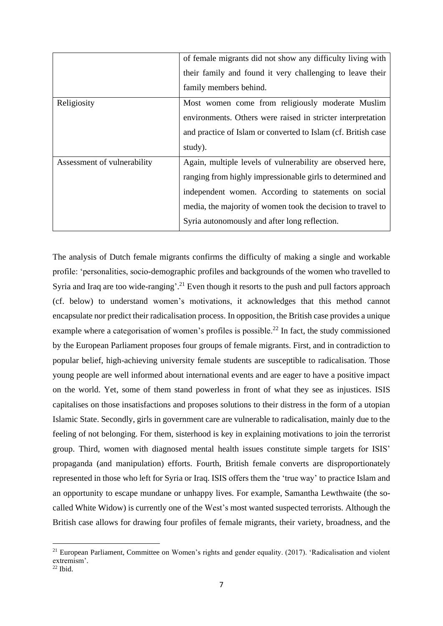|                             | of female migrants did not show any difficulty living with    |
|-----------------------------|---------------------------------------------------------------|
|                             | their family and found it very challenging to leave their     |
|                             | family members behind.                                        |
| Religiosity                 | Most women come from religiously moderate Muslim              |
|                             | environments. Others were raised in stricter interpretation   |
|                             | and practice of Islam or converted to Islam (cf. British case |
|                             | study).                                                       |
| Assessment of vulnerability | Again, multiple levels of vulnerability are observed here,    |
|                             | ranging from highly impressionable girls to determined and    |
|                             | independent women. According to statements on social          |
|                             | media, the majority of women took the decision to travel to   |
|                             | Syria autonomously and after long reflection.                 |

The analysis of Dutch female migrants confirms the difficulty of making a single and workable profile: 'personalities, socio-demographic profiles and backgrounds of the women who travelled to Syria and Iraq are too wide-ranging'.<sup>21</sup> Even though it resorts to the push and pull factors approach (cf. below) to understand women's motivations, it acknowledges that this method cannot encapsulate nor predict their radicalisation process. In opposition, the British case provides a unique example where a categorisation of women's profiles is possible.<sup>22</sup> In fact, the study commissioned by the European Parliament proposes four groups of female migrants. First, and in contradiction to popular belief, high-achieving university female students are susceptible to radicalisation. Those young people are well informed about international events and are eager to have a positive impact on the world. Yet, some of them stand powerless in front of what they see as injustices. ISIS capitalises on those insatisfactions and proposes solutions to their distress in the form of a utopian Islamic State. Secondly, girls in government care are vulnerable to radicalisation, mainly due to the feeling of not belonging. For them, sisterhood is key in explaining motivations to join the terrorist group. Third, women with diagnosed mental health issues constitute simple targets for ISIS' propaganda (and manipulation) efforts. Fourth, British female converts are disproportionately represented in those who left for Syria or Iraq. ISIS offers them the 'true way' to practice Islam and an opportunity to escape mundane or unhappy lives. For example, Samantha Lewthwaite (the socalled White Widow) is currently one of the West's most wanted suspected terrorists. Although the British case allows for drawing four profiles of female migrants, their variety, broadness, and the

<sup>&</sup>lt;sup>21</sup> European Parliament, Committee on Women's rights and gender equality. (2017). 'Radicalisation and violent extremism'.

 $22$  Ibid.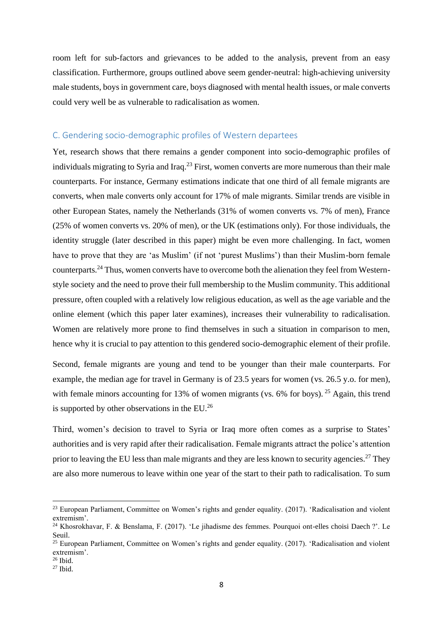room left for sub-factors and grievances to be added to the analysis, prevent from an easy classification. Furthermore, groups outlined above seem gender-neutral: high-achieving university male students, boys in government care, boys diagnosed with mental health issues, or male converts could very well be as vulnerable to radicalisation as women.

### <span id="page-8-0"></span>C. Gendering socio-demographic profiles of Western departees

Yet, research shows that there remains a gender component into socio-demographic profiles of individuals migrating to Syria and Iraq.<sup>23</sup> First, women converts are more numerous than their male counterparts. For instance, Germany estimations indicate that one third of all female migrants are converts, when male converts only account for 17% of male migrants. Similar trends are visible in other European States, namely the Netherlands (31% of women converts vs. 7% of men), France (25% of women converts vs. 20% of men), or the UK (estimations only). For those individuals, the identity struggle (later described in this paper) might be even more challenging. In fact, women have to prove that they are 'as Muslim' (if not 'purest Muslims') than their Muslim-born female counterparts.<sup>24</sup> Thus, women converts have to overcome both the alienation they feel from Westernstyle society and the need to prove their full membership to the Muslim community. This additional pressure, often coupled with a relatively low religious education, as well as the age variable and the online element (which this paper later examines), increases their vulnerability to radicalisation. Women are relatively more prone to find themselves in such a situation in comparison to men, hence why it is crucial to pay attention to this gendered socio-demographic element of their profile.

Second, female migrants are young and tend to be younger than their male counterparts. For example, the median age for travel in Germany is of 23.5 years for women (vs. 26.5 y.o. for men), with female minors accounting for 13% of women migrants (vs. 6% for boys). <sup>25</sup> Again, this trend is supported by other observations in the EU.<sup>26</sup>

Third, women's decision to travel to Syria or Iraq more often comes as a surprise to States' authorities and is very rapid after their radicalisation. Female migrants attract the police's attention prior to leaving the EU less than male migrants and they are less known to security agencies.<sup>27</sup> They are also more numerous to leave within one year of the start to their path to radicalisation. To sum

<sup>&</sup>lt;sup>23</sup> European Parliament, Committee on Women's rights and gender equality. (2017). 'Radicalisation and violent extremism'.

<sup>24</sup> Khosrokhavar, F. & Benslama, F. (2017). 'Le jihadisme des femmes. Pourquoi ont-elles choisi Daech ?'. Le Seuil.

<sup>25</sup> European Parliament, Committee on Women's rights and gender equality. (2017). 'Radicalisation and violent extremism'.  $26$  Ibid.

<sup>27</sup> Ibid.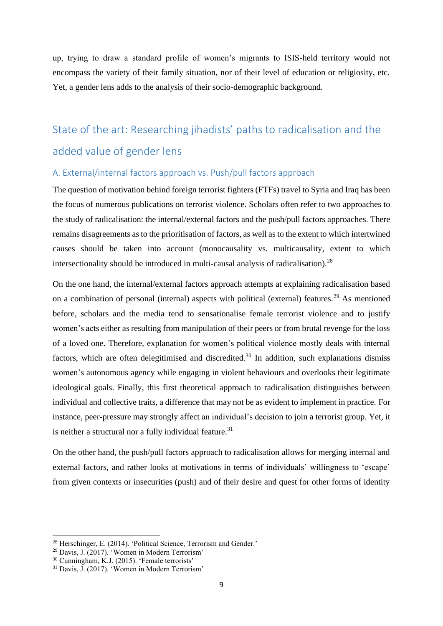up, trying to draw a standard profile of women's migrants to ISIS-held territory would not encompass the variety of their family situation, nor of their level of education or religiosity, etc. Yet, a gender lens adds to the analysis of their socio-demographic background.

# <span id="page-9-0"></span>State of the art: Researching jihadists' paths to radicalisation and the added value of gender lens

### <span id="page-9-1"></span>A. External/internal factors approach vs. Push/pull factors approach

The question of motivation behind foreign terrorist fighters (FTFs) travel to Syria and Iraq has been the focus of numerous publications on terrorist violence. Scholars often refer to two approaches to the study of radicalisation: the internal/external factors and the push/pull factors approaches. There remains disagreements as to the prioritisation of factors, as well as to the extent to which intertwined causes should be taken into account (monocausality vs. multicausality, extent to which intersectionality should be introduced in multi-causal analysis of radicalisation).<sup>28</sup>

On the one hand, the internal/external factors approach attempts at explaining radicalisation based on a combination of personal (internal) aspects with political (external) features.<sup>29</sup> As mentioned before, scholars and the media tend to sensationalise female terrorist violence and to justify women's acts either as resulting from manipulation of their peers or from brutal revenge for the loss of a loved one. Therefore, explanation for women's political violence mostly deals with internal factors, which are often delegitimised and discredited.<sup>30</sup> In addition, such explanations dismiss women's autonomous agency while engaging in violent behaviours and overlooks their legitimate ideological goals. Finally, this first theoretical approach to radicalisation distinguishes between individual and collective traits, a difference that may not be as evident to implement in practice. For instance, peer-pressure may strongly affect an individual's decision to join a terrorist group. Yet, it is neither a structural nor a fully individual feature.<sup>31</sup>

On the other hand, the push/pull factors approach to radicalisation allows for merging internal and external factors, and rather looks at motivations in terms of individuals' willingness to 'escape' from given contexts or insecurities (push) and of their desire and quest for other forms of identity

<sup>28</sup> Herschinger, E. (2014). 'Political Science, Terrorism and Gender.'

<sup>29</sup> Davis, J. (2017). 'Women in Modern Terrorism'

<sup>30</sup> Cunningham, K.J. (2015). 'Female terrorists'

<sup>31</sup> Davis, J. (2017). 'Women in Modern Terrorism'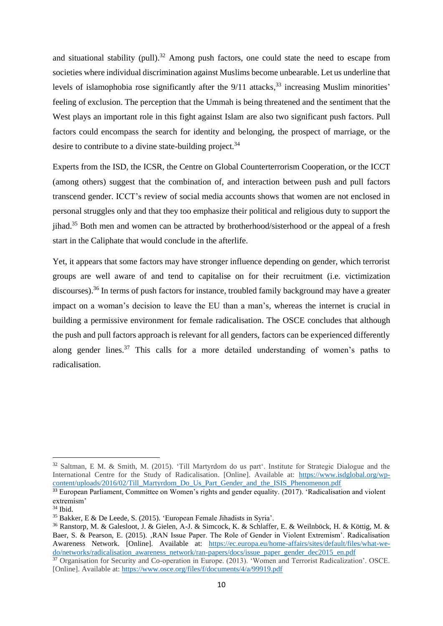and situational stability (pull).<sup>32</sup> Among push factors, one could state the need to escape from societies where individual discrimination against Muslims become unbearable. Let us underline that levels of islamophobia rose significantly after the 9/11 attacks,<sup>33</sup> increasing Muslim minorities' feeling of exclusion. The perception that the Ummah is being threatened and the sentiment that the West plays an important role in this fight against Islam are also two significant push factors. Pull factors could encompass the search for identity and belonging, the prospect of marriage, or the desire to contribute to a divine state-building project.<sup>34</sup>

Experts from the ISD, the ICSR, the Centre on Global Counterterrorism Cooperation, or the ICCT (among others) suggest that the combination of, and interaction between push and pull factors transcend gender. ICCT's review of social media accounts shows that women are not enclosed in personal struggles only and that they too emphasize their political and religious duty to support the jihad.<sup>35</sup> Both men and women can be attracted by brotherhood/sisterhood or the appeal of a fresh start in the Caliphate that would conclude in the afterlife.

Yet, it appears that some factors may have stronger influence depending on gender, which terrorist groups are well aware of and tend to capitalise on for their recruitment (i.e. victimization discourses).<sup>36</sup> In terms of push factors for instance, troubled family background may have a greater impact on a woman's decision to leave the EU than a man's, whereas the internet is crucial in building a permissive environment for female radicalisation. The OSCE concludes that although the push and pull factors approach is relevant for all genders, factors can be experienced differently along gender lines.<sup>37</sup> This calls for a more detailed understanding of women's paths to radicalisation.

<sup>32</sup> Saltman, E M. & Smith, M. (2015). 'Till Martyrdom do us part'. Institute for Strategic Dialogue and the International Centre for the Study of Radicalisation. [Online]. Available at: [https://www.isdglobal.org/wp](https://www.isdglobal.org/wp-content/uploads/2016/02/Till_Martyrdom_Do_Us_Part_Gender_and_the_ISIS_Phenomenon.pdf)[content/uploads/2016/02/Till\\_Martyrdom\\_Do\\_Us\\_Part\\_Gender\\_and\\_the\\_ISIS\\_Phenomenon.pdf](https://www.isdglobal.org/wp-content/uploads/2016/02/Till_Martyrdom_Do_Us_Part_Gender_and_the_ISIS_Phenomenon.pdf)

<sup>&</sup>lt;sup>33</sup> European Parliament, Committee on Women's rights and gender equality. (2017). 'Radicalisation and violent extremism'

 $34$  Ibid.

<sup>35</sup> Bakker, E & De Leede, S. (2015). 'European Female Jihadists in Syria'.

<sup>36</sup> Ranstorp, M. & Galesloot, J. & Gielen, A-J. & Simcock, K. & Schlaffer, E. & Weilnböck, H. & Köttig, M. & Baer, S. & Pearson, E. (2015). , RAN Issue Paper. The Role of Gender in Violent Extremism'. Radicalisation Awareness Network. [Online]. Available at: [https://ec.europa.eu/home-affairs/sites/default/files/what-we](https://ec.europa.eu/home-affairs/sites/default/files/what-we-do/networks/radicalisation_awareness_network/ran-papers/docs/issue_paper_gender_dec2015_en.pdf)[do/networks/radicalisation\\_awareness\\_network/ran-papers/docs/issue\\_paper\\_gender\\_dec2015\\_en.pdf](https://ec.europa.eu/home-affairs/sites/default/files/what-we-do/networks/radicalisation_awareness_network/ran-papers/docs/issue_paper_gender_dec2015_en.pdf)

<sup>37</sup> Organisation for Security and Co-operation in Europe. (2013). 'Women and Terrorist Radicalization'. OSCE. [Online]. Available at[: https://www.osce.org/files/f/documents/4/a/99919.pdf](https://www.osce.org/files/f/documents/4/a/99919.pdf)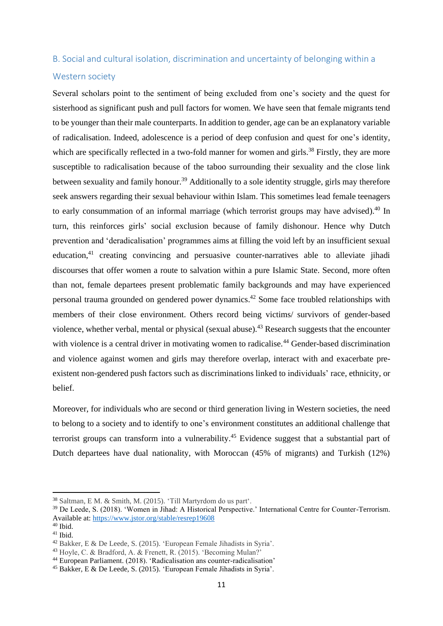### <span id="page-11-0"></span>B. Social and cultural isolation, discrimination and uncertainty of belonging within a

### Western society

Several scholars point to the sentiment of being excluded from one's society and the quest for sisterhood as significant push and pull factors for women. We have seen that female migrants tend to be younger than their male counterparts. In addition to gender, age can be an explanatory variable of radicalisation. Indeed, adolescence is a period of deep confusion and quest for one's identity, which are specifically reflected in a two-fold manner for women and girls.<sup>38</sup> Firstly, they are more susceptible to radicalisation because of the taboo surrounding their sexuality and the close link between sexuality and family honour.<sup>39</sup> Additionally to a sole identity struggle, girls may therefore seek answers regarding their sexual behaviour within Islam. This sometimes lead female teenagers to early consummation of an informal marriage (which terrorist groups may have advised).<sup>40</sup> In turn, this reinforces girls' social exclusion because of family dishonour. Hence why Dutch prevention and 'deradicalisation' programmes aims at filling the void left by an insufficient sexual education,<sup>41</sup> creating convincing and persuasive counter-narratives able to alleviate jihadi discourses that offer women a route to salvation within a pure Islamic State. Second, more often than not, female departees present problematic family backgrounds and may have experienced personal trauma grounded on gendered power dynamics.<sup>42</sup> Some face troubled relationships with members of their close environment. Others record being victims/ survivors of gender-based violence, whether verbal, mental or physical (sexual abuse).<sup>43</sup> Research suggests that the encounter with violence is a central driver in motivating women to radicalise.<sup>44</sup> Gender-based discrimination and violence against women and girls may therefore overlap, interact with and exacerbate preexistent non-gendered push factors such as discriminations linked to individuals' race, ethnicity, or belief.

Moreover, for individuals who are second or third generation living in Western societies, the need to belong to a society and to identify to one's environment constitutes an additional challenge that terrorist groups can transform into a vulnerability. <sup>45</sup> Evidence suggest that a substantial part of Dutch departees have dual nationality, with Moroccan (45% of migrants) and Turkish (12%)

<sup>38</sup> Saltman, E M. & Smith, M. (2015). 'Till Martyrdom do us part'.

<sup>39</sup> De Leede, S. (2018). 'Women in Jihad: A Historical Perspective.' International Centre for Counter-Terrorism. Available at[: https://www.jstor.org/stable/resrep19608](https://www.jstor.org/stable/resrep19608) 

 $40$  Ibid.

 $41$  Ibid.

<sup>42</sup> Bakker, E & De Leede, S. (2015). 'European Female Jihadists in Syria'.

<sup>43</sup> Hoyle, C. & Bradford, A. & Frenett, R. (2015). 'Becoming Mulan?'

<sup>44</sup> European Parliament. (2018). 'Radicalisation ans counter-radicalisation'

<sup>45</sup> Bakker, E & De Leede, S. (2015). 'European Female Jihadists in Syria'.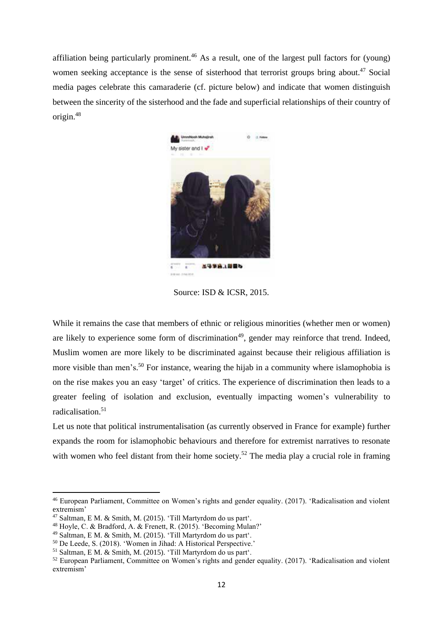affiliation being particularly prominent.<sup>46</sup> As a result, one of the largest pull factors for (young) women seeking acceptance is the sense of sisterhood that terrorist groups bring about.<sup>47</sup> Social media pages celebrate this camaraderie (cf. picture below) and indicate that women distinguish between the sincerity of the sisterhood and the fade and superficial relationships of their country of origin.<sup>48</sup>



Source: ISD & ICSR, 2015.

While it remains the case that members of ethnic or religious minorities (whether men or women) are likely to experience some form of discrimination<sup>49</sup>, gender may reinforce that trend. Indeed, Muslim women are more likely to be discriminated against because their religious affiliation is more visible than men's.<sup>50</sup> For instance, wearing the hijab in a community where islamophobia is on the rise makes you an easy 'target' of critics. The experience of discrimination then leads to a greater feeling of isolation and exclusion, eventually impacting women's vulnerability to radicalisation. $51$ 

Let us note that political instrumentalisation (as currently observed in France for example) further expands the room for islamophobic behaviours and therefore for extremist narratives to resonate with women who feel distant from their home society.<sup>52</sup> The media play a crucial role in framing

<sup>46</sup> European Parliament, Committee on Women's rights and gender equality. (2017). 'Radicalisation and violent extremism'

<sup>47</sup> Saltman, E M. & Smith, M. (2015). 'Till Martyrdom do us part'.

<sup>48</sup> Hoyle, C. & Bradford, A. & Frenett, R. (2015). 'Becoming Mulan?'

<sup>49</sup> Saltman, E M. & Smith, M. (2015). 'Till Martyrdom do us part'.

<sup>50</sup> De Leede, S. (2018). 'Women in Jihad: A Historical Perspective.'

<sup>51</sup> Saltman, E M. & Smith, M. (2015). 'Till Martyrdom do us part'.

<sup>52</sup> European Parliament, Committee on Women's rights and gender equality. (2017). 'Radicalisation and violent extremism'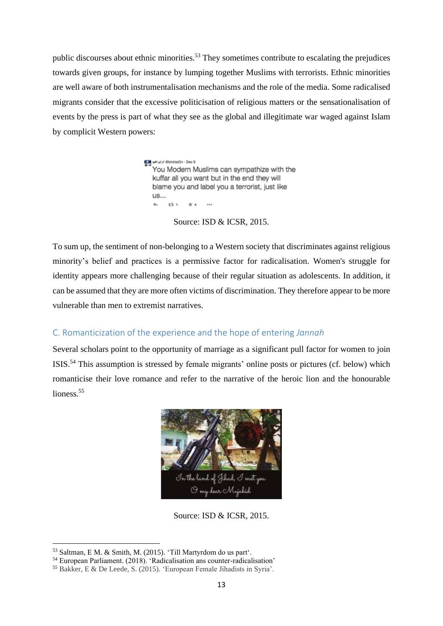public discourses about ethnic minorities.<sup>53</sup> They sometimes contribute to escalating the prejudices towards given groups, for instance by lumping together Muslims with terrorists. Ethnic minorities are well aware of both instrumentalisation mechanisms and the role of the media. Some radicalised migrants consider that the excessive politicisation of religious matters or the sensationalisation of events by the press is part of what they see as the global and illegitimate war waged against Islam by complicit Western powers:

> ebintlad3n - Dec 9 أم إيراهيم (Capital) You Modern Muslims can sympathize with the kuffar all you want but in the end they will blame you and label you a terrorist, just like **us...**  $\mathbf{r}$ 12.1  $+4$  $\cdots$

> > Source: ISD & ICSR, 2015.

To sum up, the sentiment of non-belonging to a Western society that discriminates against religious minority's belief and practices is a permissive factor for radicalisation. Women's struggle for identity appears more challenging because of their regular situation as adolescents. In addition, it can be assumed that they are more often victims of discrimination. They therefore appear to be more vulnerable than men to extremist narratives.

### <span id="page-13-0"></span>C. Romanticization of the experience and the hope of entering *Jannah*

Several scholars point to the opportunity of marriage as a significant pull factor for women to join ISIS.<sup>54</sup> This assumption is stressed by female migrants' online posts or pictures (cf. below) which romanticise their love romance and refer to the narrative of the heroic lion and the honourable lioness.<sup>55</sup>



Source: ISD & ICSR, 2015.

<sup>53</sup> Saltman, E M. & Smith, M. (2015). 'Till Martyrdom do us part'.

<sup>54</sup> European Parliament. (2018). 'Radicalisation ans counter-radicalisation'

<sup>55</sup> Bakker, E & De Leede, S. (2015). 'European Female Jihadists in Syria'.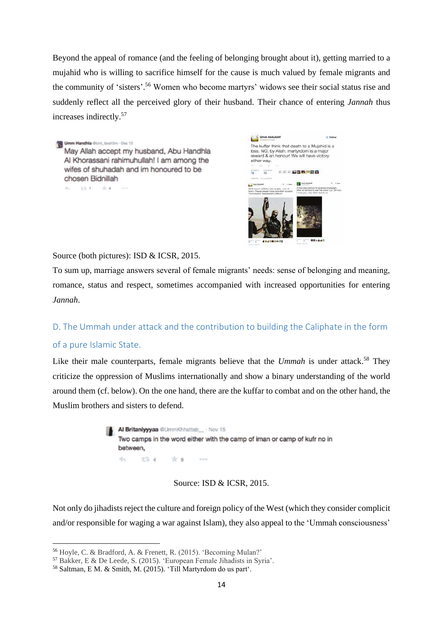Beyond the appeal of romance (and the feeling of belonging brought about it), getting married to a mujahid who is willing to sacrifice himself for the cause is much valued by female migrants and the community of 'sisters'. <sup>56</sup> Women who become martyrs' widows see their social status rise and suddenly reflect all the perceived glory of their husband. Their chance of entering *Jannah* thus increases indirectly.<sup>57</sup>

Umm Handhla Obint\_brah3m - Dec 12 May Allah accept my husband, Abu Handhla Al Khorassani rahimuhullah! I am among the wifes of shuhadah and im honoured to be chosen Bidnillah 6. 13.1. 2.4.



Source (both pictures): ISD & ICSR, 2015.

To sum up, marriage answers several of female migrants' needs: sense of belonging and meaning, romance, status and respect, sometimes accompanied with increased opportunities for entering *Jannah*.

<span id="page-14-0"></span>D. The Ummah under attack and the contribution to building the Caliphate in the form of a pure Islamic State.

Like their male counterparts, female migrants believe that the *Ummah* is under attack. <sup>58</sup> They criticize the oppression of Muslims internationally and show a binary understanding of the world around them (cf. below). On the one hand, there are the kuffar to combat and on the other hand, the Muslim brothers and sisters to defend.



Source: ISD & ICSR, 2015.

Not only do jihadists reject the culture and foreign policy of the West (which they consider complicit and/or responsible for waging a war against Islam), they also appeal to the 'Ummah consciousness'

<sup>56</sup> Hoyle, C. & Bradford, A. & Frenett, R. (2015). 'Becoming Mulan?'

<sup>57</sup> Bakker, E & De Leede, S. (2015). 'European Female Jihadists in Syria'.

<sup>58</sup> Saltman, E M. & Smith, M. (2015). 'Till Martyrdom do us part'.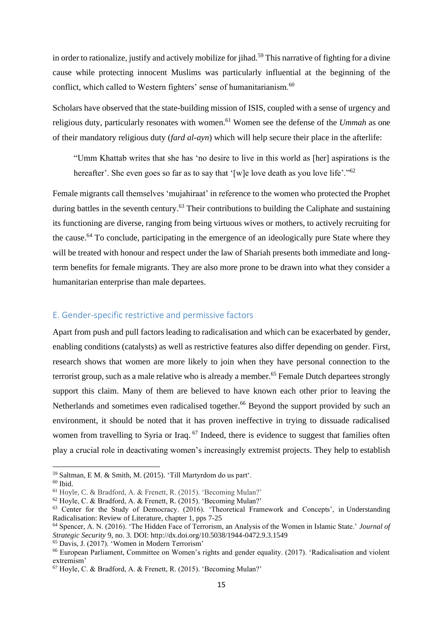in order to rationalize, justify and actively mobilize for jihad.<sup>59</sup> This narrative of fighting for a divine cause while protecting innocent Muslims was particularly influential at the beginning of the conflict, which called to Western fighters' sense of humanitarianism.<sup>60</sup>

Scholars have observed that the state-building mission of ISIS, coupled with a sense of urgency and religious duty, particularly resonates with women.<sup>61</sup> Women see the defense of the *Ummah* as one of their mandatory religious duty (*fard al-ayn*) which will help secure their place in the afterlife:

"Umm Khattab writes that she has 'no desire to live in this world as [her] aspirations is the hereafter'. She even goes so far as to say that '[w]e love death as you love life'."<sup>62</sup>

Female migrants call themselves 'mujahiraat' in reference to the women who protected the Prophet during battles in the seventh century.<sup>63</sup> Their contributions to building the Caliphate and sustaining its functioning are diverse, ranging from being virtuous wives or mothers, to actively recruiting for the cause.<sup>64</sup> To conclude, participating in the emergence of an ideologically pure State where they will be treated with honour and respect under the law of Shariah presents both immediate and longterm benefits for female migrants. They are also more prone to be drawn into what they consider a humanitarian enterprise than male departees.

### <span id="page-15-0"></span>E. Gender-specific restrictive and permissive factors

Apart from push and pull factors leading to radicalisation and which can be exacerbated by gender, enabling conditions (catalysts) as well as restrictive features also differ depending on gender. First, research shows that women are more likely to join when they have personal connection to the terrorist group, such as a male relative who is already a member. <sup>65</sup> Female Dutch departees strongly support this claim. Many of them are believed to have known each other prior to leaving the Netherlands and sometimes even radicalised together.<sup>66</sup> Beyond the support provided by such an environment, it should be noted that it has proven ineffective in trying to dissuade radicalised women from travelling to Syria or Iraq. <sup>67</sup> Indeed, there is evidence to suggest that families often play a crucial role in deactivating women's increasingly extremist projects. They help to establish

<sup>59</sup> Saltman, E M. & Smith, M. (2015). 'Till Martyrdom do us part'.

 $60$  Ibid.

<sup>61</sup> Hoyle, C. & Bradford, A. & Frenett, R. (2015). 'Becoming Mulan?'

 $62$  Hoyle, C. & Bradford, A. & Frenett, R. (2015). 'Becoming Mulan?'

<sup>&</sup>lt;sup>63</sup> Center for the Study of Democracy. (2016). 'Theoretical Framework and Concepts', in Understanding Radicalisation: Review of Literature, chapter 1, pps 7-25

<sup>64</sup> Spencer, A. N. (2016). 'The Hidden Face of Terrorism, an Analysis of the Women in Islamic State.' *Journal of Strategic Security* 9, no. 3. DOI: http://dx.doi.org/10.5038/1944-0472.9.3.1549

<sup>65</sup> Davis, J. (2017). 'Women in Modern Terrorism'

<sup>66</sup> European Parliament, Committee on Women's rights and gender equality. (2017). 'Radicalisation and violent extremism'

<sup>67</sup> Hoyle, C. & Bradford, A. & Frenett, R. (2015). 'Becoming Mulan?'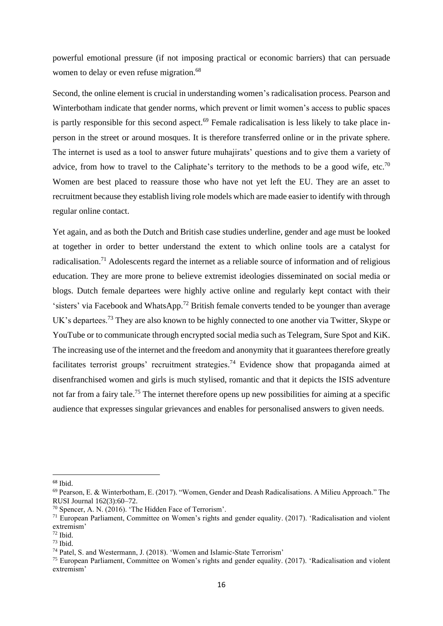powerful emotional pressure (if not imposing practical or economic barriers) that can persuade women to delay or even refuse migration.<sup>68</sup>

Second, the online element is crucial in understanding women's radicalisation process. Pearson and Winterbotham indicate that gender norms, which prevent or limit women's access to public spaces is partly responsible for this second aspect.<sup>69</sup> Female radicalisation is less likely to take place inperson in the street or around mosques. It is therefore transferred online or in the private sphere. The internet is used as a tool to answer future muhajirats' questions and to give them a variety of advice, from how to travel to the Caliphate's territory to the methods to be a good wife, etc.<sup>70</sup> Women are best placed to reassure those who have not yet left the EU. They are an asset to recruitment because they establish living role models which are made easier to identify with through regular online contact.

Yet again, and as both the Dutch and British case studies underline, gender and age must be looked at together in order to better understand the extent to which online tools are a catalyst for radicalisation.<sup>71</sup> Adolescents regard the internet as a reliable source of information and of religious education. They are more prone to believe extremist ideologies disseminated on social media or blogs. Dutch female departees were highly active online and regularly kept contact with their 'sisters' via Facebook and WhatsApp.<sup>72</sup> British female converts tended to be younger than average UK's departees.<sup>73</sup> They are also known to be highly connected to one another via Twitter, Skype or YouTube or to communicate through encrypted social media such as Telegram, Sure Spot and KiK. The increasing use of the internet and the freedom and anonymity that it guarantees therefore greatly facilitates terrorist groups' recruitment strategies.<sup>74</sup> Evidence show that propaganda aimed at disenfranchised women and girls is much stylised, romantic and that it depicts the ISIS adventure not far from a fairy tale.<sup>75</sup> The internet therefore opens up new possibilities for aiming at a specific audience that expresses singular grievances and enables for personalised answers to given needs.

<sup>68</sup> Ibid.

<sup>69</sup> Pearson, E. & Winterbotham, E. (2017). "Women, Gender and Deash Radicalisations. A Milieu Approach." The RUSI Journal 162(3):60–72.

<sup>70</sup> Spencer, A. N. (2016). 'The Hidden Face of Terrorism'.

<sup>71</sup> European Parliament, Committee on Women's rights and gender equality. (2017). 'Radicalisation and violent extremism'

 $72$  Ibid.

 $73$  Ibid.

<sup>74</sup> Patel, S. and Westermann, J. (2018). 'Women and Islamic-State Terrorism'

<sup>75</sup> European Parliament, Committee on Women's rights and gender equality. (2017). 'Radicalisation and violent extremism'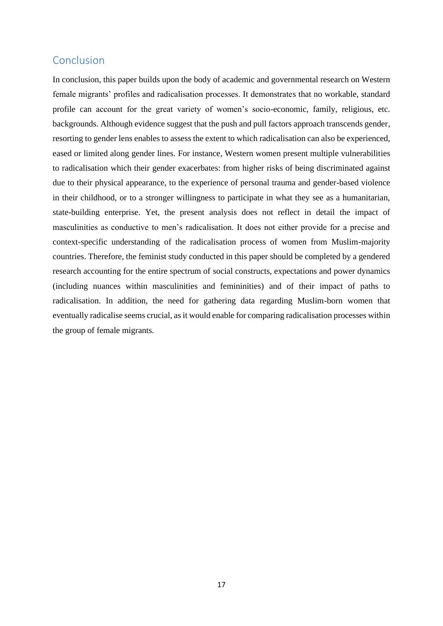## <span id="page-17-0"></span>Conclusion

In conclusion, this paper builds upon the body of academic and governmental research on Western female migrants' profiles and radicalisation processes. It demonstrates that no workable, standard profile can account for the great variety of women's socio-economic, family, religious, etc. backgrounds. Although evidence suggest that the push and pull factors approach transcends gender, resorting to gender lens enables to assess the extent to which radicalisation can also be experienced, eased or limited along gender lines. For instance, Western women present multiple vulnerabilities to radicalisation which their gender exacerbates: from higher risks of being discriminated against due to their physical appearance, to the experience of personal trauma and gender-based violence in their childhood, or to a stronger willingness to participate in what they see as a humanitarian, state-building enterprise. Yet, the present analysis does not reflect in detail the impact of masculinities as conductive to men's radicalisation. It does not either provide for a precise and context-specific understanding of the radicalisation process of women from Muslim-majority countries. Therefore, the feminist study conducted in this paper should be completed by a gendered research accounting for the entire spectrum of social constructs, expectations and power dynamics (including nuances within masculinities and femininities) and of their impact of paths to radicalisation. In addition, the need for gathering data regarding Muslim-born women that eventually radicalise seems crucial, as it would enable for comparing radicalisation processes within the group of female migrants.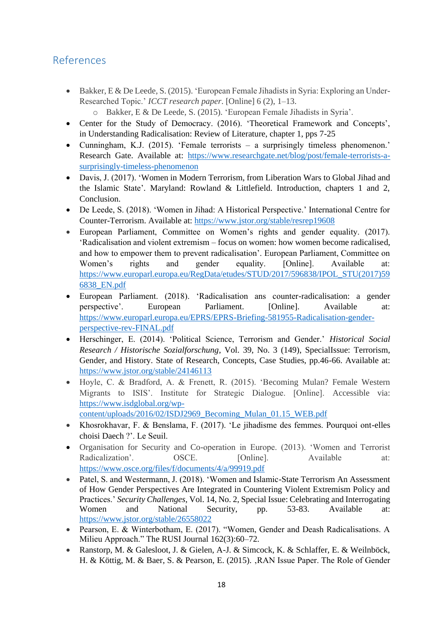## <span id="page-18-0"></span>References

- Bakker, E & De Leede, S. (2015). 'European Female Jihadists in Syria: Exploring an Under-Researched Topic.' *ICCT research paper*. [Online] 6 (2), 1–13.
	- o Bakker, E & De Leede, S. (2015). 'European Female Jihadists in Syria'.
- Center for the Study of Democracy. (2016). 'Theoretical Framework and Concepts', in Understanding Radicalisation: Review of Literature, chapter 1, pps 7-25
- Cunningham, K.J. (2015). 'Female terrorists a surprisingly timeless phenomenon.' Research Gate. Available at: [https://www.researchgate.net/blog/post/female-terrorists-a](https://www.researchgate.net/blog/post/female-terrorists-a-surprisingly-timeless-phenomenon)[surprisingly-timeless-phenomenon](https://www.researchgate.net/blog/post/female-terrorists-a-surprisingly-timeless-phenomenon)
- Davis, J. (2017). 'Women in Modern Terrorism, from Liberation Wars to Global Jihad and the Islamic State'*.* Maryland: Rowland & Littlefield. Introduction, chapters 1 and 2, Conclusion.
- De Leede, S. (2018). 'Women in Jihad: A Historical Perspective.' International Centre for Counter-Terrorism. Available at:<https://www.jstor.org/stable/resrep19608>
- European Parliament, Committee on Women's rights and gender equality. (2017). 'Radicalisation and violent extremism – focus on women: how women become radicalised, and how to empower them to prevent radicalisation'. European Parliament, Committee on Women's rights and gender equality. [Online]. Available at: [https://www.europarl.europa.eu/RegData/etudes/STUD/2017/596838/IPOL\\_STU\(2017\)59](https://www.europarl.europa.eu/RegData/etudes/STUD/2017/596838/IPOL_STU(2017)596838_EN.pdf) [6838\\_EN.pdf](https://www.europarl.europa.eu/RegData/etudes/STUD/2017/596838/IPOL_STU(2017)596838_EN.pdf)
- European Parliament. (2018). 'Radicalisation ans counter-radicalisation: a gender perspective'. European Parliament. [Online]. Available at: [https://www.europarl.europa.eu/EPRS/EPRS-Briefing-581955-Radicalisation-gender](https://www.europarl.europa.eu/EPRS/EPRS-Briefing-581955-Radicalisation-gender-perspective-rev-FINAL.pdf)[perspective-rev-FINAL.pdf](https://www.europarl.europa.eu/EPRS/EPRS-Briefing-581955-Radicalisation-gender-perspective-rev-FINAL.pdf)
- Herschinger, E. (2014). 'Political Science, Terrorism and Gender.' *Historical Social Research / Historische Sozialforschung*, Vol. 39, No. 3 (149), SpecialIssue: Terrorism, Gender, and History. State of Research, Concepts, Case Studies, pp.46-66. Available at: <https://www.jstor.org/stable/24146113>
- Hoyle, C. & Bradford, A. & Frenett, R. (2015). 'Becoming Mulan? Female Western Migrants to ISIS'. Institute for Strategic Dialogue. [Online]. Accessible via: [https://www.isdglobal.org/wp](https://www.isdglobal.org/wp-content/uploads/2016/02/ISDJ2969_Becoming_Mulan_01.15_WEB.pdf)[content/uploads/2016/02/ISDJ2969\\_Becoming\\_Mulan\\_01.15\\_WEB.pdf](https://www.isdglobal.org/wp-content/uploads/2016/02/ISDJ2969_Becoming_Mulan_01.15_WEB.pdf)
- Khosrokhavar, F. & Benslama, F. (2017). 'Le jihadisme des femmes. Pourquoi ont-elles choisi Daech ?'. Le Seuil.
- Organisation for Security and Co-operation in Europe. (2013). 'Women and Terrorist Radicalization'. OSCE. [Online]. Available at: <https://www.osce.org/files/f/documents/4/a/99919.pdf>
- Patel, S. and Westermann, J. (2018). 'Women and Islamic-State Terrorism An Assessment of How Gender Perspectives Are Integrated in Countering Violent Extremism Policy and Practices.' *Security Challenges*, Vol. 14, No. 2, Special Issue: Celebrating and Interrogating Women and National Security, pp. 53-83. Available at: <https://www.jstor.org/stable/26558022>
- Pearson, E. & Winterbotham, E. (2017). "Women, Gender and Deash Radicalisations. A Milieu Approach." The RUSI Journal 162(3):60–72.
- Ranstorp, M. & Galesloot, J. & Gielen, A-J. & Simcock, K. & Schlaffer, E. & Weilnböck, H. & Köttig, M. & Baer, S. & Pearson, E. (2015). , RAN Issue Paper. The Role of Gender